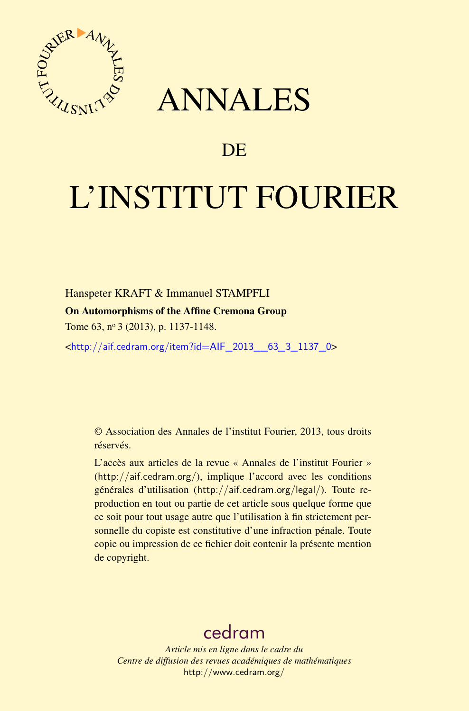

## ANNALES

## **DE**

# L'INSTITUT FOURIER

Hanspeter KRAFT & Immanuel STAMPFLI On Automorphisms of the Affine Cremona Group Tome 63, nº 3 (2013), p. 1137-1148.

<[http://aif.cedram.org/item?id=AIF\\_2013\\_\\_63\\_3\\_1137\\_0](http://aif.cedram.org/item?id=AIF_2013__63_3_1137_0)>

© Association des Annales de l'institut Fourier, 2013, tous droits réservés.

L'accès aux articles de la revue « Annales de l'institut Fourier » (<http://aif.cedram.org/>), implique l'accord avec les conditions générales d'utilisation (<http://aif.cedram.org/legal/>). Toute reproduction en tout ou partie de cet article sous quelque forme que ce soit pour tout usage autre que l'utilisation à fin strictement personnelle du copiste est constitutive d'une infraction pénale. Toute copie ou impression de ce fichier doit contenir la présente mention de copyright.

## [cedram](http://www.cedram.org/)

*Article mis en ligne dans le cadre du Centre de diffusion des revues académiques de mathématiques* <http://www.cedram.org/>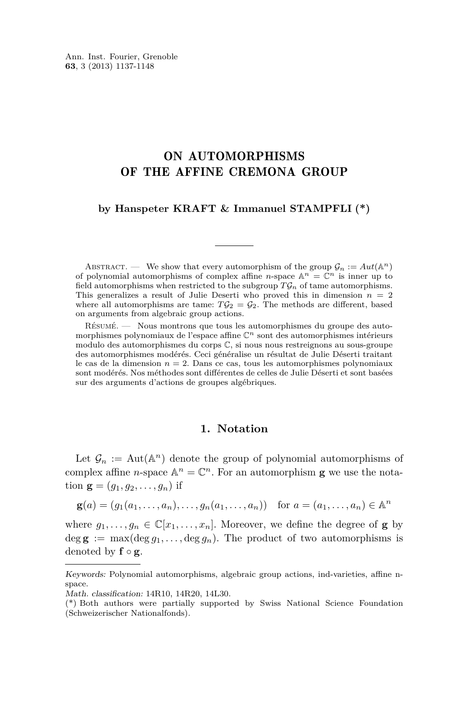### ON AUTOMORPHISMS OF THE AFFINE CREMONA GROUP

#### **by Hanspeter KRAFT & Immanuel STAMPFLI (\*)**

ABSTRACT. — We show that every automorphism of the group  $\mathcal{G}_n := Aut(\mathbb{A}^n)$ of polynomial automorphisms of complex affine *n*-space  $\mathbb{A}^n = \mathbb{C}^n$  is inner up to field automorphisms when restricted to the subgroup  $T\mathcal{G}_n$  of tame automorphisms. This generalizes a result of Julie Deserti who proved this in dimension *n* = 2 where all automorphisms are tame:  $T\mathcal{G}_2 = \mathcal{G}_2$ . The methods are different, based on arguments from algebraic group actions.

Résumé. — Nous montrons que tous les automorphismes du groupe des automorphismes polynomiaux de l'espace affine C*<sup>n</sup>* sont des automorphismes intérieurs modulo des automorphismes du corps C, si nous nous restreignons au sous-groupe des automorphismes modérés. Ceci généralise un résultat de Julie Déserti traitant le cas de la dimension  $n = 2$ . Dans ce cas, tous les automorphismes polynomiaux sont modérés. Nos méthodes sont différentes de celles de Julie Déserti et sont basées sur des arguments d'actions de groupes algébriques.

#### **1. Notation**

Let  $\mathcal{G}_n := \text{Aut}(\mathbb{A}^n)$  denote the group of polynomial automorphisms of complex affine *n*-space  $\mathbb{A}^n = \mathbb{C}^n$ . For an automorphism **g** we use the notation  ${\bf g} = (g_1, g_2, \dots, g_n)$  if

$$
\mathbf{g}(a) = (g_1(a_1, ..., a_n), ..., g_n(a_1, ..., a_n)) \text{ for } a = (a_1, ..., a_n) \in \mathbb{A}^n
$$

where  $g_1, \ldots, g_n \in \mathbb{C}[x_1, \ldots, x_n]$ . Moreover, we define the degree of **g** by  $\deg \mathbf{g} := \max(\deg q_1, \ldots, \deg q_n)$ . The product of two automorphisms is denoted by **f** ◦ **g**.

Keywords: Polynomial automorphisms, algebraic group actions, ind-varieties, affine nspace.

Math. classification: 14R10, 14R20, 14L30.

<sup>(\*)</sup> Both authors were partially supported by Swiss National Science Foundation (Schweizerischer Nationalfonds).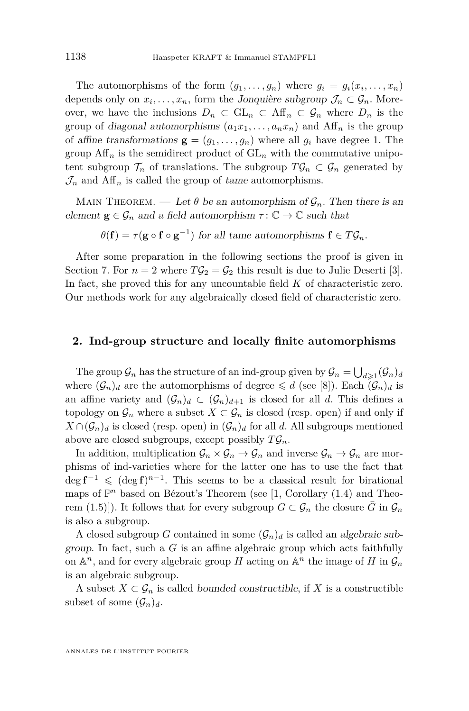The automorphisms of the form  $(g_1, \ldots, g_n)$  where  $g_i = g_i(x_i, \ldots, x_n)$ depends only on  $x_i, \ldots, x_n$ , form the Jonquière subgroup  $\mathcal{J}_n \subset \mathcal{G}_n$ . Moreover, we have the inclusions  $D_n \subset GL_n \subset Aff_n \subset \mathcal{G}_n$  where  $D_n$  is the group of diagonal automorphisms  $(a_1x_1, \ldots, a_nx_n)$  and Aff<sub>n</sub> is the group of affine transformations  $\mathbf{g} = (g_1, \ldots, g_n)$  where all  $g_i$  have degree 1. The group  $\text{Aff}_n$  is the semidirect product of  $\text{GL}_n$  with the commutative unipotent subgroup  $\mathcal{T}_n$  of translations. The subgroup  $T\mathcal{G}_n \subset \mathcal{G}_n$  generated by  $\mathcal{J}_n$  and  $\text{Aff}_n$  is called the group of tame automorphisms.

MAIN THEOREM. — Let  $\theta$  be an automorphism of  $\mathcal{G}_n$ . Then there is an element  $\mathbf{g} \in \mathcal{G}_n$  and a field automorphism  $\tau : \mathbb{C} \to \mathbb{C}$  such that

 $\theta(\mathbf{f}) = \tau(\mathbf{g} \circ \mathbf{f} \circ \mathbf{g}^{-1})$  for all tame automorphisms  $\mathbf{f} \in T\mathcal{G}_n$ .

After some preparation in the following sections the proof is given in Section [7.](#page-9-0) For  $n = 2$  where  $T\mathcal{G}_2 = \mathcal{G}_2$  this result is due to Julie Deserti [\[3\]](#page-11-0). In fact, she proved this for any uncountable field *K* of characteristic zero. Our methods work for any algebraically closed field of characteristic zero.

#### **2. Ind-group structure and locally finite automorphisms**

The group  $\mathcal{G}_n$  has the structure of an ind-group given by  $\mathcal{G}_n = \bigcup_{d \geqslant 1} (\mathcal{G}_n)_d$ where  $(\mathcal{G}_n)_d$  are the automorphisms of degree  $\leq d$  (see [\[8\]](#page-11-0)). Each  $(\mathcal{G}_n)_d$  is an affine variety and  $(\mathcal{G}_n)_d \subset (\mathcal{G}_n)_{d+1}$  is closed for all *d*. This defines a topology on  $\mathcal{G}_n$  where a subset  $X \subset \mathcal{G}_n$  is closed (resp. open) if and only if  $X \cap (\mathcal{G}_n)_d$  is closed (resp. open) in  $(\mathcal{G}_n)_d$  for all *d*. All subgroups mentioned above are closed subgroups, except possibly  $T\mathcal{G}_n$ .

In addition, multiplication  $\mathcal{G}_n \times \mathcal{G}_n \to \mathcal{G}_n$  and inverse  $\mathcal{G}_n \to \mathcal{G}_n$  are morphisms of ind-varieties where for the latter one has to use the fact that  $\deg \mathbf{f}^{-1} \leqslant (\deg \mathbf{f})^{n-1}$ . This seems to be a classical result for birational maps of  $\mathbb{P}^n$  based on Bézout's Theorem (see [\[1,](#page-11-0) Corollary (1.4) and Theorem (1.5)]). It follows that for every subgroup  $G \subset \mathcal{G}_n$  the closure *G* in  $\mathcal{G}_n$ is also a subgroup.

A closed subgroup *G* contained in some  $(G_n)_d$  is called an algebraic subgroup. In fact, such a *G* is an affine algebraic group which acts faithfully on  $\mathbb{A}^n$ , and for every algebraic group *H* acting on  $\mathbb{A}^n$  the image of *H* in  $\mathcal{G}_n$ is an algebraic subgroup.

A subset  $X \subset \mathcal{G}_n$  is called bounded constructible, if X is a constructible subset of some  $(\mathcal{G}_n)_d$ .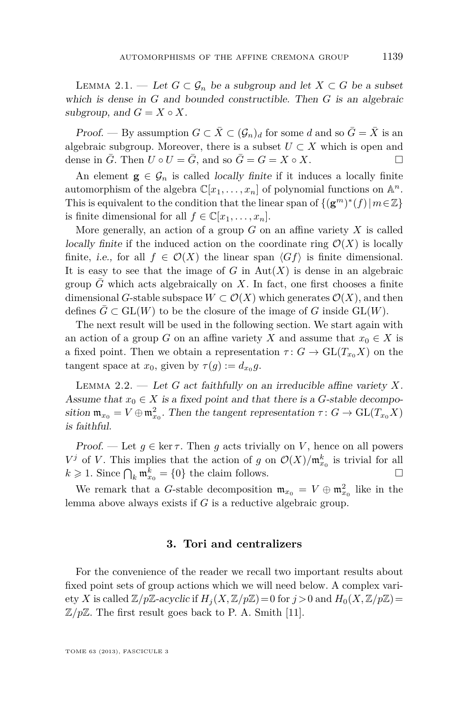<span id="page-3-0"></span>LEMMA 2.1. − Let  $G ⊂ \mathcal{G}_n$  be a subgroup and let  $X ⊂ G$  be a subset which is dense in *G* and bounded constructible. Then *G* is an algebraic subgroup, and  $G = X \circ X$ .

Proof. — By assumption  $G \subset \overline{X} \subset (\mathcal{G}_n)_d$  for some *d* and so  $\overline{G} = \overline{X}$  is an algebraic subgroup. Moreover, there is a subset  $U \subset X$  which is open and dense in  $\overline{G}$ . Then  $U \circ U = \overline{G}$ , and so  $\overline{G} = G = X \circ X$ .

An element  $g \in \mathcal{G}_n$  is called *locally finite* if it induces a locally finite automorphism of the algebra  $\mathbb{C}[x_1,\ldots,x_n]$  of polynomial functions on  $\mathbb{A}^n$ . This is equivalent to the condition that the linear span of  $\{(\mathbf{g}^m)^*(f) | m \in \mathbb{Z}\}\$ is finite dimensional for all  $f \in \mathbb{C}[x_1, \ldots, x_n]$ .

More generally, an action of a group  $G$  on an affine variety  $X$  is called locally finite if the induced action on the coordinate ring  $\mathcal{O}(X)$  is locally finite, *i.e.*, for all  $f \in \mathcal{O}(X)$  the linear span  $\langle Gf \rangle$  is finite dimensional. It is easy to see that the image of  $G$  in  $\text{Aut}(X)$  is dense in an algebraic group  $\bar{G}$  which acts algebraically on *X*. In fact, one first chooses a finite dimensional *G*-stable subspace  $W \subset \mathcal{O}(X)$  which generates  $\mathcal{O}(X)$ , and then defines  $G \subset GL(W)$  to be the closure of the image of *G* inside  $GL(W)$ .

The next result will be used in the following section. We start again with an action of a group *G* on an affine variety *X* and assume that  $x_0 \in X$  is a fixed point. Then we obtain a representation  $\tau: G \to \text{GL}(T_{x_0}X)$  on the tangent space at  $x_0$ , given by  $\tau(g) := d_{x_0}g$ .

Lemma 2.2. — Let *G* act faithfully on an irreducible affine variety *X*. Assume that  $x_0 \in X$  is a fixed point and that there is a *G*-stable decomposition  $\mathfrak{m}_{x_0} = V \oplus \mathfrak{m}_{x_0}^2$ . Then the tangent representation  $\tau \colon G \to \mathrm{GL}(T_{x_0}X)$ is faithful.

Proof. — Let  $g \in \ker \tau$ . Then g acts trivially on V, hence on all powers *V*<sup>j</sup> of *V*. This implies that the action of *g* on  $\mathcal{O}(X)/m_{x_0}^k$  is trivial for all  $k \geq 1$ . Since  $\bigcap_k \mathfrak{m}^k_{x_0} = \{0\}$  the claim follows.

We remark that a *G*-stable decomposition  $\mathfrak{m}_{x_0} = V \oplus \mathfrak{m}_{x_0}^2$  like in the lemma above always exists if *G* is a reductive algebraic group.

#### **3. Tori and centralizers**

For the convenience of the reader we recall two important results about fixed point sets of group actions which we will need below. A complex variety *X* is called  $\mathbb{Z}/p\mathbb{Z}$ -acyclic if  $H_i(X, \mathbb{Z}/p\mathbb{Z}) = 0$  for  $j > 0$  and  $H_0(X, \mathbb{Z}/p\mathbb{Z}) =$  $\mathbb{Z}/p\mathbb{Z}$ . The first result goes back to P. A. Smith [\[11\]](#page-12-0).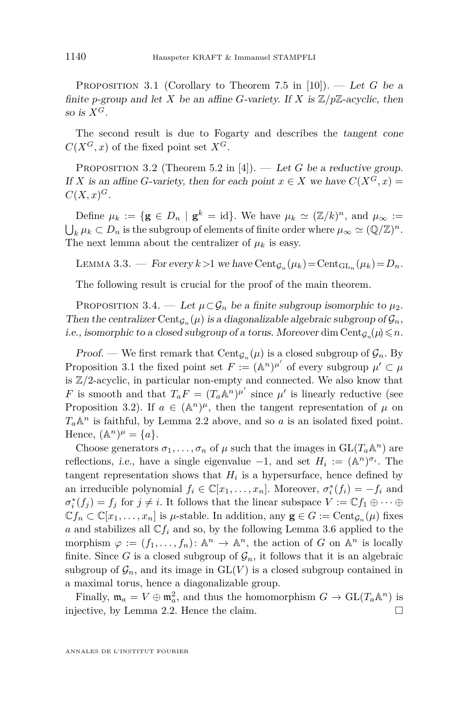<span id="page-4-0"></span>PROPOSITION 3.1 (Corollary to Theorem 7.5 in [\[10\]](#page-11-0)). — Let G be a finite *p*-group and let *X* be an affine *G*-variety. If *X* is  $\mathbb{Z}/p\mathbb{Z}$ -acyclic, then so is  $X^G$ .

The second result is due to Fogarty and describes the tangent cone  $C(X^G, x)$  of the fixed point set  $X^G$ .

PROPOSITION 3.2 (Theorem 5.2 in [\[4\]](#page-11-0)). — Let G be a reductive group. If *X* is an affine *G*-variety, then for each point  $x \in X$  we have  $C(X^G, x) =$  $C(X, x)$ <sup>*G*</sup>.

Define  $\mu_k := {\mathbf{g} \in D_n \mid \mathbf{g}^k = \text{id}}$ . We have  $\mu_k \simeq (\mathbb{Z}/k)^n$ , and  $\mu_\infty :=$  $\bigcup_k \mu_k \subset D_n$  is the subgroup of elements of finite order where  $\mu_\infty \simeq (\mathbb{Q}/\mathbb{Z})^n$ . The next lemma about the centralizer of  $\mu_k$  is easy.

LEMMA 3.3. — For every  $k > 1$  we have  $Cent_{\mathcal{G}_n}(\mu_k) = Cent_{\mathrm{GL}_n}(\mu_k) = D_n$ .

The following result is crucial for the proof of the main theorem.

PROPOSITION 3.4. — Let  $\mu \subset \mathcal{G}_n$  be a finite subgroup isomorphic to  $\mu_2$ . Then the centralizer Cent<sub> $G_n(\mu)$ </sub> is a diagonalizable algebraic subgroup of  $\mathcal{G}_n$ , i.e., isomorphic to a closed subgroup of a torus. Moreover dim  $Cent_{\mathcal{G}_n}(\mu) \leq n$ .

Proof. — We first remark that  $Cent_{\mathcal{G}_n}(\mu)$  is a closed subgroup of  $\mathcal{G}_n$ . By Proposition 3.1 the fixed point set  $F := (\mathbb{A}^n)^{\mu'}$  of every subgroup  $\mu' \subset \mu$ is Z*/*2-acyclic, in particular non-empty and connected. We also know that *F* is smooth and that  $T_a F = (T_a \mathbb{A}^n)^{\mu'}$  since  $\mu'$  is linearly reductive (see Proposition 3.2). If  $a \in (\mathbb{A}^n)^{\mu}$ , then the tangent representation of  $\mu$  on  $T_a \mathbb{A}^n$  is faithful, by Lemma [2.2](#page-3-0) above, and so *a* is an isolated fixed point. Hence,  $(\mathbb{A}^n)^\mu = \{a\}.$ 

Choose generators  $\sigma_1, \ldots, \sigma_n$  of  $\mu$  such that the images in  $GL(T_a \mathbb{A}^n)$  are reflections, *i.e.*, have a single eigenvalue  $-1$ , and set  $H_i := (\mathbb{A}^n)^{\sigma_i}$ . The tangent representation shows that  $H_i$  is a hypersurface, hence defined by an irreducible polynomial  $f_i \in \mathbb{C}[x_1, \ldots, x_n]$ . Moreover,  $\sigma_i^*(f_i) = -f_i$  and  $\sigma_i^*(f_j) = f_j$  for  $j \neq i$ . It follows that the linear subspace  $V := \mathbb{C} f_1 \oplus \cdots \oplus$  $\mathbb{C}f_n \subset \mathbb{C}[x_1,\ldots,x_n]$  is *µ*-stable. In addition, any  $\mathbf{g} \in G := \text{Cent}_{\mathcal{G}_n}(\mu)$  fixes *a* and stabilizes all  $\mathbb{C} f_i$  and so, by the following Lemma [3.6](#page-5-0) applied to the morphism  $\varphi := (f_1, \ldots, f_n) \colon \mathbb{A}^n \to \mathbb{A}^n$ , the action of *G* on  $\mathbb{A}^n$  is locally finite. Since *G* is a closed subgroup of  $\mathcal{G}_n$ , it follows that it is an algebraic subgroup of  $\mathcal{G}_n$ , and its image in  $GL(V)$  is a closed subgroup contained in a maximal torus, hence a diagonalizable group.

Finally,  $\mathfrak{m}_a = V \oplus \mathfrak{m}_a^2$ , and thus the homomorphism  $G \to \mathrm{GL}(T_a \mathbb{A}^n)$  is injective, by Lemma [2.2.](#page-3-0) Hence the claim.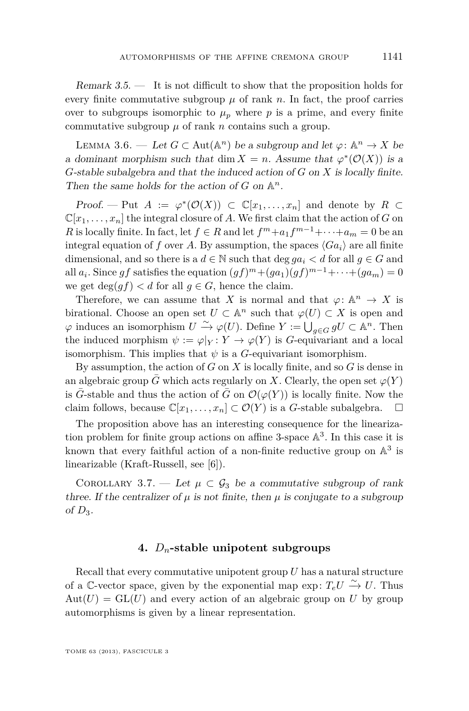<span id="page-5-0"></span>Remark 3.5. — It is not difficult to show that the proposition holds for every finite commutative subgroup  $\mu$  of rank  $n$ . In fact, the proof carries over to subgroups isomorphic to  $\mu_p$  where  $p$  is a prime, and every finite commutative subgroup  $\mu$  of rank *n* contains such a group.

LEMMA 3.6. — Let  $G \subset \text{Aut}(\mathbb{A}^n)$  be a subgroup and let  $\varphi: \mathbb{A}^n \to X$  be a dominant morphism such that dim  $X = n$ . Assume that  $\varphi^*(\mathcal{O}(X))$  is a *G*-stable subalgebra and that the induced action of *G* on *X* is locally finite. Then the same holds for the action of  $G$  on  $\mathbb{A}^n$ .

Proof. — Put  $A := \varphi^*(\mathcal{O}(X)) \subset \mathbb{C}[x_1,\ldots,x_n]$  and denote by  $R \subset$  $\mathbb{C}[x_1,\ldots,x_n]$  the integral closure of *A*. We first claim that the action of *G* on *R* is locally finite. In fact, let  $f \in R$  and let  $f^m + a_1 f^{m-1} + \cdots + a_m = 0$  be an integral equation of *f* over *A*. By assumption, the spaces  $\langle Ga_i \rangle$  are all finite dimensional, and so there is a  $d \in \mathbb{N}$  such that deg  $qa_i < d$  for all  $q \in G$  and all  $a_i$ . Since  $gf$  satisfies the equation  $(gf)^m + (ga_1)(gf)^{m-1} + \cdots + (ga_m) = 0$ we get  $\deg(qf) < d$  for all  $q \in G$ , hence the claim.

Therefore, we can assume that *X* is normal and that  $\varphi: \mathbb{A}^n \to X$  is birational. Choose an open set  $U \subset \mathbb{A}^n$  such that  $\varphi(U) \subset X$  is open and  $\varphi$  induces an isomorphism  $U \xrightarrow{\sim} \varphi(U)$ . Define  $Y := \bigcup_{g \in G} gU \subset \mathbb{A}^n$ . Then the induced morphism  $\psi := \varphi|_Y : Y \to \varphi(Y)$  is *G*-equivariant and a local isomorphism. This implies that  $\psi$  is a *G*-equivariant isomorphism.

By assumption, the action of *G* on *X* is locally finite, and so *G* is dense in an algebraic group *G* which acts regularly on *X*. Clearly, the open set  $\varphi(Y)$ is  $\bar{G}$ -stable and thus the action of  $\bar{G}$  on  $\mathcal{O}(\varphi(Y))$  is locally finite. Now the claim follows, because  $\mathbb{C}[x_1,\ldots,x_n] \subset \mathcal{O}(Y)$  is a *G*-stable subalgebra.  $\Box$ 

The proposition above has an interesting consequence for the linearization problem for finite group actions on affine 3-space  $\mathbb{A}^3$ . In this case it is known that every faithful action of a non-finite reductive group on  $\mathbb{A}^3$  is linearizable (Kraft-Russell, see [\[6\]](#page-11-0)).

COROLLARY 3.7. — Let  $\mu \subset \mathcal{G}_3$  be a commutative subgroup of rank three. If the centralizer of  $\mu$  is not finite, then  $\mu$  is conjugate to a subgroup of *D*3.

#### **4.** *Dn***-stable unipotent subgroups**

Recall that every commutative unipotent group *U* has a natural structure of a C-vector space, given by the exponential map exp:  $T_e U \xrightarrow{\sim} U$ . Thus  $Aut(U) = GL(U)$  and every action of an algebraic group on U by group automorphisms is given by a linear representation.

TOME 63 (2013), FASCICULE 3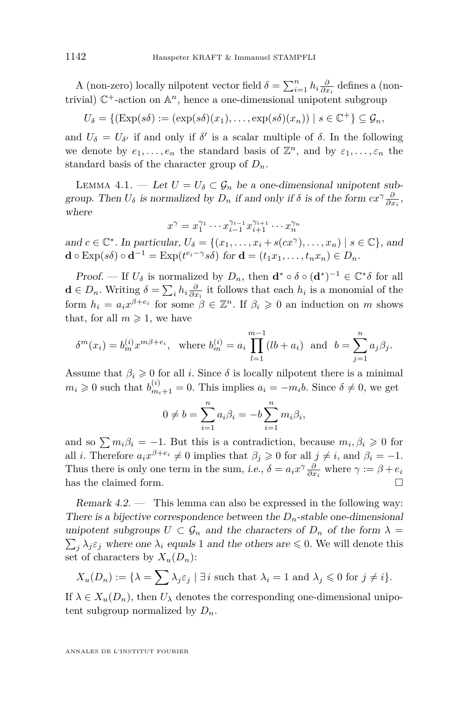<span id="page-6-0"></span>A (non-zero) locally nilpotent vector field  $\delta = \sum_{i=1}^{n} h_i \frac{\partial}{\partial x_i}$  defines a (nontrivial)  $\mathbb{C}^+$ -action on  $\mathbb{A}^n$ , hence a one-dimensional unipotent subgroup

$$
U_{\delta} = \{ (\text{Exp}(s\delta) := (\exp(s\delta)(x_1), \dots, \exp(s\delta)(x_n)) \mid s \in \mathbb{C}^+ \} \subseteq \mathcal{G}_n,
$$

and  $U_{\delta} = U_{\delta}$  if and only if  $\delta$ <sup>'</sup> is a scalar multiple of  $\delta$ . In the following we denote by  $e_1, \ldots, e_n$  the standard basis of  $\mathbb{Z}^n$ , and by  $\varepsilon_1, \ldots, \varepsilon_n$  the standard basis of the character group of  $D_n$ .

LEMMA 4.1. — Let  $U = U_{\delta} \subset \mathcal{G}_n$  be a one-dimensional unipotent subgroup. Then  $U_{\delta}$  is normalized by  $D_n$  if and only if  $\delta$  is of the form  $cx^{\gamma} \frac{\partial}{\partial x_i}$ , where

$$
x^{\gamma} = x_1^{\gamma_1} \cdots x_{i-1}^{\gamma_{i-1}} x_{i+1}^{\gamma_{i+1}} \cdots x_n^{\gamma_n}
$$

and  $c \in \mathbb{C}^*$ . In particular,  $U_{\delta} = \{(x_1, \ldots, x_i + s(cx^{\gamma}), \ldots, x_n) \mid s \in \mathbb{C}\},$  and  $\mathbf{d} \circ \text{Exp}(s\delta) \circ \mathbf{d}^{-1} = \text{Exp}(t^{e_i - \gamma} s\delta) \text{ for } \mathbf{d} = (t_1 x_1, \dots, t_n x_n) \in D_n.$ 

Proof. — If  $U_{\delta}$  is normalized by  $D_n$ , then  $\mathbf{d}^* \circ \delta \circ (\mathbf{d}^*)^{-1} \in \mathbb{C}^* \delta$  for all  $\mathbf{d} \in D_n$ . Writing  $\delta = \sum_i h_i \frac{\partial}{\partial x_i}$  it follows that each  $h_i$  is a monomial of the form  $h_i = a_i x^{\beta + e_i}$  for some  $\beta \in \mathbb{Z}^n$ . If  $\beta_i \geq 0$  an induction on *m* shows that, for all  $m \geq 1$ , we have

$$
\delta^{m}(x_{i}) = b_{m}^{(i)} x^{m\beta + e_{i}}, \text{ where } b_{m}^{(i)} = a_{i} \prod_{l=1}^{m-1} (lb + a_{i}) \text{ and } b = \sum_{j=1}^{n} a_{j} \beta_{j}.
$$

Assume that  $\beta_i \geq 0$  for all *i*. Since  $\delta$  is locally nilpotent there is a minimal  $m_i \geq 0$  such that  $b_{m_i+1}^{(i)} = 0$ . This implies  $a_i = -m_i b$ . Since  $\delta \neq 0$ , we get

$$
0 \neq b = \sum_{i=1}^{n} a_i \beta_i = -b \sum_{i=1}^{n} m_i \beta_i,
$$

and so  $\sum m_i \beta_i = -1$ . But this is a contradiction, because  $m_i, \beta_i \geqslant 0$  for all *i*. Therefore  $a_i x^{\beta + e_i} \neq 0$  implies that  $\beta_j \geq 0$  for all  $j \neq i$ , and  $\beta_i = -1$ . Thus there is only one term in the sum, *i.e.*,  $\delta = a_i x^\gamma \frac{\partial}{\partial x_i}$  where  $\gamma := \beta + e_i$ has the claimed form.

Remark 4.2. — This lemma can also be expressed in the following way: There is a bijective correspondence between the  $D_n$ -stable one-dimensional unipotent subgroups  $U \subset \mathcal{G}_n$  and the characters of  $D_n$  of the form  $\lambda =$  $\sum_{j} \lambda_j \varepsilon_j$  where one  $\lambda_i$  equals 1 and the others are  $\leq 0$ . We will denote this set of characters by  $X_u(D_n)$ :

$$
X_u(D_n) := \{ \lambda = \sum \lambda_j \varepsilon_j \mid \exists i \text{ such that } \lambda_i = 1 \text{ and } \lambda_j \leq 0 \text{ for } j \neq i \}.
$$

If  $\lambda \in X_u(D_n)$ , then  $U_\lambda$  denotes the corresponding one-dimensional unipotent subgroup normalized by  $D_n$ .

ANNALES DE L'INSTITUT FOURIER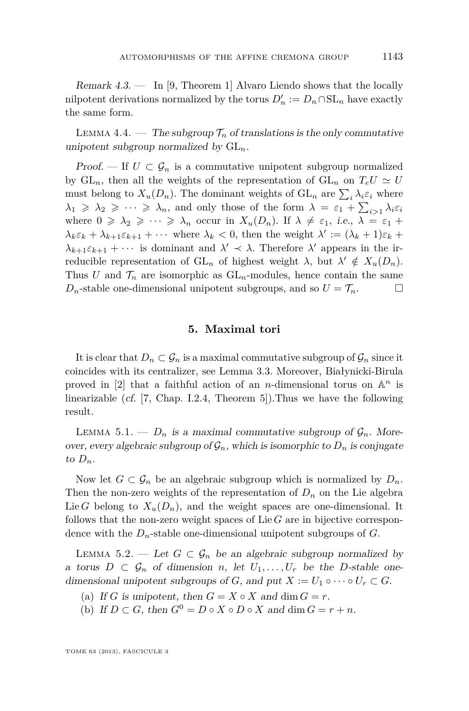<span id="page-7-0"></span>Remark 4.3. — In [\[9,](#page-11-0) Theorem 1] Alvaro Liendo shows that the locally nilpotent derivations normalized by the torus  $D'_n := D_n \cap SL_n$  have exactly the same form.

LEMMA 4.4. — The subgroup  $\mathcal{T}_n$  of translations is the only commutative unipotent subgroup normalized by GL*n*.

Proof. — If  $U \subset \mathcal{G}_n$  is a commutative unipotent subgroup normalized by  $GL_n$ , then all the weights of the representation of  $GL_n$  on  $T_eU \simeq U$ must belong to  $X_u(D_n)$ . The dominant weights of  $GL_n$  are  $\sum_i \lambda_i \varepsilon_i$  where  $\lambda_1 \geq \lambda_2 \geq \cdots \geq \lambda_n$ , and only those of the form  $\lambda = \varepsilon_1 + \sum_{i>1} \lambda_i \varepsilon_i$ where  $0 \ge \lambda_2 \ge \cdots \ge \lambda_n$  occur in  $X_u(D_n)$ . If  $\lambda \neq \varepsilon_1$ , *i.e.*,  $\lambda = \varepsilon_1 +$  $\lambda_k \varepsilon_k + \lambda_{k+1} \varepsilon_{k+1} + \cdots$  where  $\lambda_k < 0$ , then the weight  $\lambda' := (\lambda_k + 1) \varepsilon_k +$  $\lambda_{k+1} \varepsilon_{k+1} + \cdots$  is dominant and  $\lambda' \prec \lambda$ . Therefore  $\lambda'$  appears in the irreducible representation of  $GL_n$  of highest weight  $\lambda$ , but  $\lambda' \notin X_u(D_n)$ . Thus *U* and  $\mathcal{T}_n$  are isomorphic as  $GL_n$ -modules, hence contain the same *D<sub>n</sub>*-stable one-dimensional unipotent subgroups, and so  $U = \mathcal{T}_n$ .

#### **5. Maximal tori**

It is clear that  $D_n \subset \mathcal{G}_n$  is a maximal commutative subgroup of  $\mathcal{G}_n$  since it coincides with its centralizer, see Lemma [3.3.](#page-4-0) Moreover, Białynicki-Birula proved in  $[2]$  that a faithful action of an *n*-dimensional torus on  $\mathbb{A}^n$  is linearizable (cf. [\[7,](#page-11-0) Chap. I.2.4, Theorem 5]).Thus we have the following result.

LEMMA 5.1. —  $D_n$  is a maximal commutative subgroup of  $\mathcal{G}_n$ . Moreover, every algebraic subgroup of  $\mathcal{G}_n$ , which is isomorphic to  $D_n$  is conjugate to  $D_n$ .

Now let  $G \subset \mathcal{G}_n$  be an algebraic subgroup which is normalized by  $D_n$ . Then the non-zero weights of the representation of  $D_n$  on the Lie algebra Lie *G* belong to  $X_u(D_n)$ , and the weight spaces are one-dimensional. It follows that the non-zero weight spaces of Lie *G* are in bijective correspondence with the *Dn*-stable one-dimensional unipotent subgroups of *G*.

LEMMA 5.2. — Let  $G \subset \mathcal{G}_n$  be an algebraic subgroup normalized by a torus  $D \subset \mathcal{G}_n$  of dimension *n*, let  $U_1, \ldots, U_r$  be the *D*-stable onedimensional unipotent subgroups of *G*, and put  $X := U_1 \circ \cdots \circ U_r \subset G$ .

- (a) If *G* is unipotent, then  $G = X \circ X$  and dim  $G = r$ .
- (b) If  $D \subset G$ , then  $G^0 = D \circ X \circ D \circ X$  and dim  $G = r + n$ .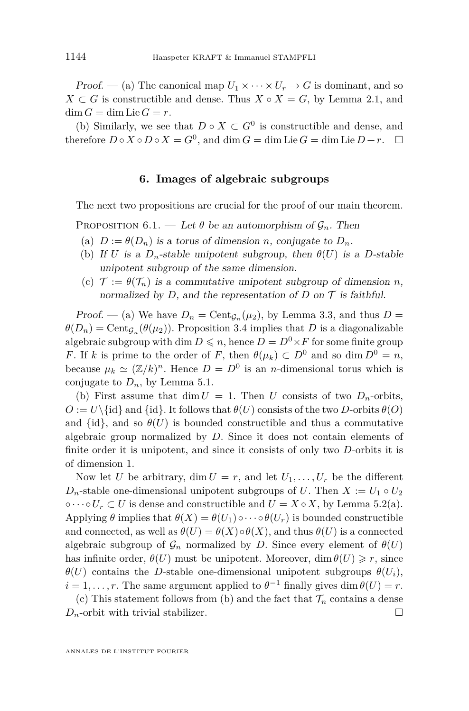<span id="page-8-0"></span>Proof. — (a) The canonical map  $U_1 \times \cdots \times U_r \to G$  is dominant, and so  $X \subset G$  is constructible and dense. Thus  $X \circ X = G$ , by Lemma [2.1,](#page-3-0) and  $\dim G = \dim \text{Lie } G = r.$ 

(b) Similarly, we see that  $D \circ X \subset G^0$  is constructible and dense, and therefore  $D \circ X \circ D \circ X = G^0$ , and dim  $G = \dim \text{Lie } G = \dim \text{Lie } D + r$ .  $\Box$ 

#### **6. Images of algebraic subgroups**

The next two propositions are crucial for the proof of our main theorem.

PROPOSITION 6.1. — Let  $\theta$  be an automorphism of  $\mathcal{G}_n$ . Then

- (a)  $D := \theta(D_n)$  is a torus of dimension *n*, conjugate to  $D_n$ .
- (b) If *U* is a  $D_n$ -stable unipotent subgroup, then  $\theta(U)$  is a *D*-stable unipotent subgroup of the same dimension.
- (c)  $\mathcal{T} := \theta(\mathcal{T}_n)$  is a commutative unipotent subgroup of dimension *n*, normalized by *D*, and the representation of *D* on  $\mathcal T$  is faithful.

Proof. — (a) We have  $D_n = \text{Cent}_{\mathcal{G}_n}(\mu_2)$ , by Lemma [3.3,](#page-4-0) and thus  $D =$  $\theta(D_n) = \text{Cent}_{\mathcal{G}_n}(\theta(\mu_2)).$  Proposition [3.4](#page-4-0) implies that *D* is a diagonalizable algebraic subgroup with dim  $D \leq n$ , hence  $D = D^0 \times F$  for some finite group *F*. If *k* is prime to the order of *F*, then  $\theta(\mu_k) \subset D^0$  and so dim  $D^0 = n$ , because  $\mu_k \simeq (\mathbb{Z}/k)^n$ . Hence  $D = D^0$  is an *n*-dimensional torus which is conjugate to  $D_n$ , by Lemma [5.1.](#page-7-0)

(b) First assume that dim  $U = 1$ . Then *U* consists of two  $D_n$ -orbits,  $O := U\setminus \{id\}$  and  $\{id\}$ . It follows that  $\theta(U)$  consists of the two *D*-orbits  $\theta(O)$ and  $\{id\}$ , and so  $\theta(U)$  is bounded constructible and thus a commutative algebraic group normalized by *D*. Since it does not contain elements of finite order it is unipotent, and since it consists of only two *D*-orbits it is of dimension 1.

Now let *U* be arbitrary, dim  $U = r$ , and let  $U_1, \ldots, U_r$  be the different *D*<sub>n</sub>-stable one-dimensional unipotent subgroups of *U*. Then  $X := U_1 \circ U_2$  $\circ \cdots \circ U_r \subset U$  is dense and constructible and  $U = X \circ X$ , by Lemma [5.2\(](#page-7-0)a). Applying  $\theta$  implies that  $\theta(X) = \theta(U_1) \circ \cdots \circ \theta(U_r)$  is bounded constructible and connected, as well as  $\theta(U) = \theta(X) \circ \theta(X)$ , and thus  $\theta(U)$  is a connected algebraic subgroup of  $\mathcal{G}_n$  normalized by *D*. Since every element of  $\theta(U)$ has infinite order,  $\theta(U)$  must be unipotent. Moreover, dim  $\theta(U) \geq r$ , since *θ*(*U*) contains the *D*-stable one-dimensional unipotent subgroups *θ*(*Ui*),  $i = 1, \ldots, r$ . The same argument applied to  $\theta^{-1}$  finally gives dim  $\theta(U) = r$ .

(c) This statement follows from (b) and the fact that  $\mathcal{T}_n$  contains a dense  $D_n$ -orbit with trivial stabilizer.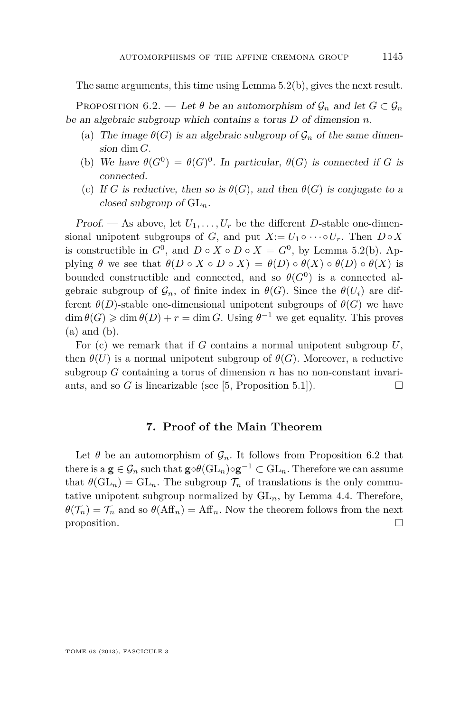<span id="page-9-0"></span>The same arguments, this time using Lemma [5.2\(](#page-7-0)b), gives the next result.

PROPOSITION 6.2. — Let  $\theta$  be an automorphism of  $\mathcal{G}_n$  and let  $G \subset \mathcal{G}_n$ be an algebraic subgroup which contains a torus *D* of dimension *n*.

- (a) The image  $\theta(G)$  is an algebraic subgroup of  $\mathcal{G}_n$  of the same dimension dim *G*.
- (b) We have  $\theta(G^0) = \theta(G)^0$ . In particular,  $\theta(G)$  is connected if *G* is connected.
- (c) If *G* is reductive, then so is  $\theta(G)$ , and then  $\theta(G)$  is conjugate to a closed subgroup of GL*n*.

Proof. — As above, let  $U_1, \ldots, U_r$  be the different *D*-stable one-dimensional unipotent subgroups of *G*, and put  $X := U_1 \circ \cdots \circ U_r$ . Then  $D \circ X$ is constructible in  $G^0$ , and  $D \circ X \circ D \circ X = G^0$ , by Lemma [5.2\(](#page-7-0)b). Applying  $\theta$  we see that  $\theta(D \circ X \circ D \circ X) = \theta(D) \circ \theta(X) \circ \theta(D) \circ \theta(X)$  is bounded constructible and connected, and so  $\theta(G^0)$  is a connected algebraic subgroup of  $\mathcal{G}_n$ , of finite index in  $\theta(G)$ . Since the  $\theta(U_i)$  are different  $\theta(D)$ -stable one-dimensional unipotent subgroups of  $\theta(G)$  we have  $\dim \theta(G) \geq \dim \theta(D) + r = \dim G$ . Using  $\theta^{-1}$  we get equality. This proves (a) and (b).

For (c) we remark that if *G* contains a normal unipotent subgroup *U*, then  $\theta(U)$  is a normal unipotent subgroup of  $\theta(G)$ . Moreover, a reductive subgroup *G* containing a torus of dimension *n* has no non-constant invariants, and so *G* is linearizable (see [\[5,](#page-11-0) Proposition 5.1]).

#### **7. Proof of the Main Theorem**

Let  $\theta$  be an automorphism of  $\mathcal{G}_n$ . It follows from Proposition 6.2 that there is a  $\mathbf{g} \in \mathcal{G}_n$  such that  $\mathbf{g} \circ \theta(\mathrm{GL}_n) \circ \mathbf{g}^{-1} \subset \mathrm{GL}_n$ . Therefore we can assume that  $\theta(\mathrm{GL}_n) = \mathrm{GL}_n$ . The subgroup  $\mathcal{T}_n$  of translations is the only commutative unipotent subgroup normalized by  $GL_n$ , by Lemma [4.4.](#page-7-0) Therefore,  $\theta(\mathcal{T}_n) = \mathcal{T}_n$  and so  $\theta(\text{Aff}_n) = \text{Aff}_n$ . Now the theorem follows from the next proposition.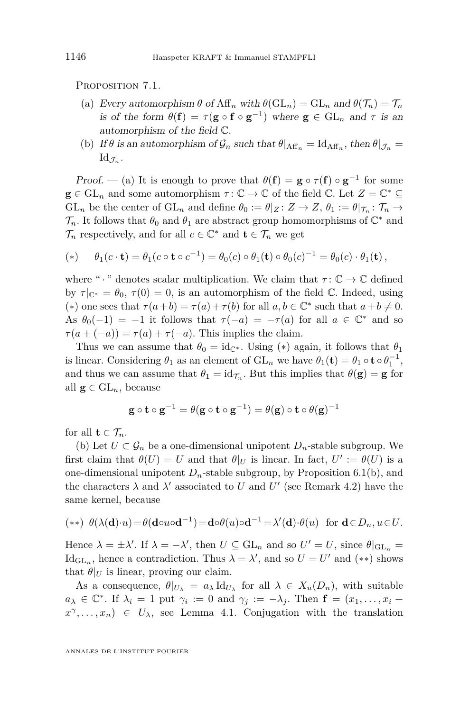PROPOSITION 7.1.

- (a) Every automorphism  $\theta$  of Aff<sub>n</sub> with  $\theta$ (GL<sub>n</sub>) = GL<sub>n</sub> and  $\theta(\mathcal{T}_n) = \mathcal{T}_n$ is of the form  $\theta(\mathbf{f}) = \tau(\mathbf{g} \circ \mathbf{f} \circ \mathbf{g}^{-1})$  where  $\mathbf{g} \in GL_n$  and  $\tau$  is an automorphism of the field C.
- (b) If  $\theta$  is an automorphism of  $\mathcal{G}_n$  such that  $\theta|_{\text{Aff}_n} = \text{Id}_{\text{Aff}_n}$ , then  $\theta|_{\mathcal{J}_n} =$  $\mathrm{Id}_{\mathcal{J}_n}.$

Proof. — (a) It is enough to prove that  $\theta(\mathbf{f}) = \mathbf{g} \circ \tau(\mathbf{f}) \circ \mathbf{g}^{-1}$  for some  $\mathbf{g} \in \mathrm{GL}_n$  and some automorphism  $\tau: \mathbb{C} \to \mathbb{C}$  of the field  $\mathbb{C}$ . Let  $Z = \mathbb{C}^* \subseteq$ GL<sub>n</sub> be the center of  $GL_n$  and define  $\theta_0 := \theta|_Z \colon Z \to Z$ ,  $\theta_1 := \theta|_{\mathcal{T}_n} \colon \mathcal{T}_n \to$  $\mathcal{T}_n$ . It follows that  $\theta_0$  and  $\theta_1$  are abstract group homomorphisms of  $\mathbb{C}^*$  and  $\mathcal{T}_n$  respectively, and for all  $c \in \mathbb{C}^*$  and  $\mathbf{t} \in \mathcal{T}_n$  we get

$$
(*) \qquad \theta_1(c \cdot \mathbf{t}) = \theta_1(c \circ \mathbf{t} \circ c^{-1}) = \theta_0(c) \circ \theta_1(\mathbf{t}) \circ \theta_0(c)^{-1} = \theta_0(c) \cdot \theta_1(\mathbf{t}),
$$

where " $\cdot$ " denotes scalar multiplication. We claim that  $\tau: \mathbb{C} \to \mathbb{C}$  defined by  $\tau|_{\mathbb{C}^*} = \theta_0$ ,  $\tau(0) = 0$ , is an automorphism of the field  $\mathbb{C}$ . Indeed, using (\*) one sees that  $\tau(a+b) = \tau(a) + \tau(b)$  for all  $a, b \in \mathbb{C}^*$  such that  $a+b \neq 0$ . As  $\theta_0(-1) = -1$  it follows that  $\tau(-a) = -\tau(a)$  for all  $a \in \mathbb{C}^*$  and so  $\tau(a + (-a)) = \tau(a) + \tau(-a)$ . This implies the claim.

Thus we can assume that  $\theta_0 = id_{\mathbb{C}^*}$ . Using (\*) again, it follows that  $\theta_1$ is linear. Considering  $\theta_1$  as an element of  $GL_n$  we have  $\theta_1(\mathbf{t}) = \theta_1 \circ \mathbf{t} \circ \theta_1^{-1}$ , and thus we can assume that  $\theta_1 = \mathrm{id}_{\mathcal{T}_n}$ . But this implies that  $\theta(\mathbf{g}) = \mathbf{g}$  for all  $\mathbf{g} \in GL_n$ , because

$$
\mathbf{g} \circ \mathbf{t} \circ \mathbf{g}^{-1} = \theta(\mathbf{g} \circ \mathbf{t} \circ \mathbf{g}^{-1}) = \theta(\mathbf{g}) \circ \mathbf{t} \circ \theta(\mathbf{g})^{-1}
$$

for all  $\mathbf{t} \in \mathcal{T}_n$ .

(b) Let  $U \subset \mathcal{G}_n$  be a one-dimensional unipotent  $D_n$ -stable subgroup. We first claim that  $\theta(U) = U$  and that  $\theta|_U$  is linear. In fact,  $U' := \theta(U)$  is a one-dimensional unipotent  $D_n$ -stable subgroup, by Proposition [6.1\(](#page-8-0)b), and the characters  $\lambda$  and  $\lambda'$  associated to *U* and *U'* (see Remark [4.2\)](#page-6-0) have the same kernel, because

(\*\*) 
$$
\theta(\lambda(\mathbf{d}) \cdot u) = \theta(\mathbf{d} \circ u \circ \mathbf{d}^{-1}) = \mathbf{d} \circ \theta(u) \circ \mathbf{d}^{-1} = \lambda'(\mathbf{d}) \cdot \theta(u)
$$
 for  $\mathbf{d} \in D_n, u \in U$ .

Hence  $\lambda = \pm \lambda'$ . If  $\lambda = -\lambda'$ , then  $U \subseteq GL_n$  and so  $U' = U$ , since  $\theta|_{GL_n} =$  $\mathrm{Id}_{\mathrm{GL}_n}$ , hence a contradiction. Thus  $\lambda = \lambda'$ , and so  $U = U'$  and (\*\*) shows that  $\theta|_U$  is linear, proving our claim.

As a consequence,  $\theta|_{U_\lambda} = a_\lambda \, \text{Id}_{U_\lambda}$  for all  $\lambda \in X_u(D_n)$ , with suitable  $a_{\lambda} \in \mathbb{C}^*$ . If  $\lambda_i = 1$  put  $\gamma_i := 0$  and  $\gamma_j := -\lambda_j$ . Then  $\mathbf{f} = (x_1, \dots, x_i +$  $x^{\gamma}, \ldots, x_n$   $\in U_{\lambda}$ , see Lemma [4.1.](#page-6-0) Conjugation with the translation

ANNALES DE L'INSTITUT FOURIER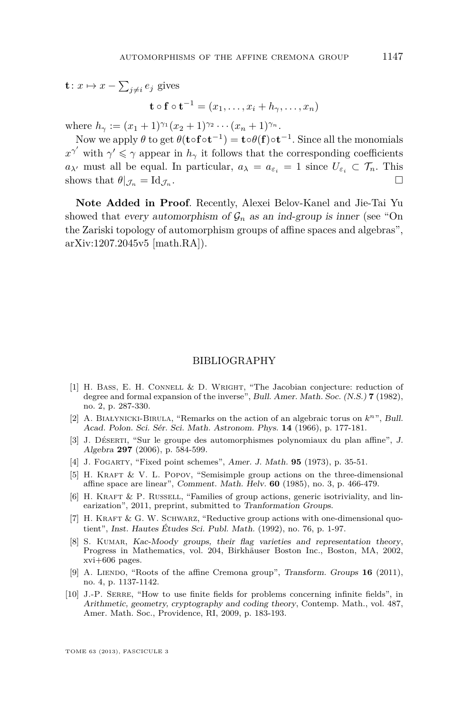<span id="page-11-0"></span>
$$
\mathbf{t}: x \mapsto x - \sum_{j \neq i} e_j \text{ gives}
$$

$$
\mathbf{t} \circ \mathbf{f} \circ \mathbf{t}^{-1} = (x_1, \dots, x_i + h_\gamma, \dots, x_n)
$$

where  $h_{\gamma} := (x_1 + 1)^{\gamma_1}(x_2 + 1)^{\gamma_2} \cdots (x_n + 1)^{\gamma_n}$ .

Now we apply  $\theta$  to get  $\theta(\mathbf{t} \circ \mathbf{f} \circ \mathbf{t}^{-1}) = \mathbf{t} \circ \theta(\mathbf{f}) \circ \mathbf{t}^{-1}$ . Since all the monomials  $x^{\gamma'}$  with  $\gamma' \leq \gamma$  appear in  $h_{\gamma}$  it follows that the corresponding coefficients *a*<sub>*λ*</sub><sup>*i*</sup> must all be equal. In particular,  $a_{\lambda} = a_{\varepsilon_i} = 1$  since  $U_{\varepsilon_i} \subset \mathcal{T}_n$ . This shows that  $\theta|_{\mathcal{J}_n} = \mathrm{Id}_{\mathcal{J}_n}$ . .

**Note Added in Proof**. Recently, Alexei Belov-Kanel and Jie-Tai Yu showed that every automorphism of  $\mathcal{G}_n$  as an ind-group is inner (see "On the Zariski topology of automorphism groups of affine spaces and algebras", arXiv:1207.2045v5 [math.RA]).

#### BIBLIOGRAPHY

- [1] H. BASS, E. H. CONNELL & D. WRIGHT, "The Jacobian conjecture: reduction of degree and formal expansion of the inverse", Bull. Amer. Math. Soc. (N.S.) **7** (1982), no. 2, p. 287-330.
- [2] A. BIAŁYNICKI-BIRULA, "Remarks on the action of an algebraic torus on  $k^n$ ", Bull. Acad. Polon. Sci. Sér. Sci. Math. Astronom. Phys. **14** (1966), p. 177-181.
- [3] J. Déserti, "Sur le groupe des automorphismes polynomiaux du plan affine", J. Algebra **297** (2006), p. 584-599.
- [4] J. Fogarty, "Fixed point schemes", Amer. J. Math. **95** (1973), p. 35-51.
- [5] H. KRAFT & V. L. POPOV, "Semisimple group actions on the three-dimensional affine space are linear", Comment. Math. Helv. **60** (1985), no. 3, p. 466-479.
- [6] H. KRAFT & P. RUSSELL, "Families of group actions, generic isotriviality, and linearization", 2011, preprint, submitted to Tranformation Groups.
- [7] H. KRAFT & G. W. SCHWARZ, "Reductive group actions with one-dimensional quotient", Inst. Hautes Études Sci. Publ. Math. (1992), no. 76, p. 1-97.
- [8] S. KUMAR, Kac-Moody groups, their flag varieties and representation theory, Progress in Mathematics, vol. 204, Birkhäuser Boston Inc., Boston, MA, 2002, xvi+606 pages.
- [9] A. LIENDO, "Roots of the affine Cremona group", Transform. Groups **16** (2011), no. 4, p. 1137-1142.
- [10] J.-P. Serre, "How to use finite fields for problems concerning infinite fields", in Arithmetic, geometry, cryptography and coding theory, Contemp. Math., vol. 487, Amer. Math. Soc., Providence, RI, 2009, p. 183-193.